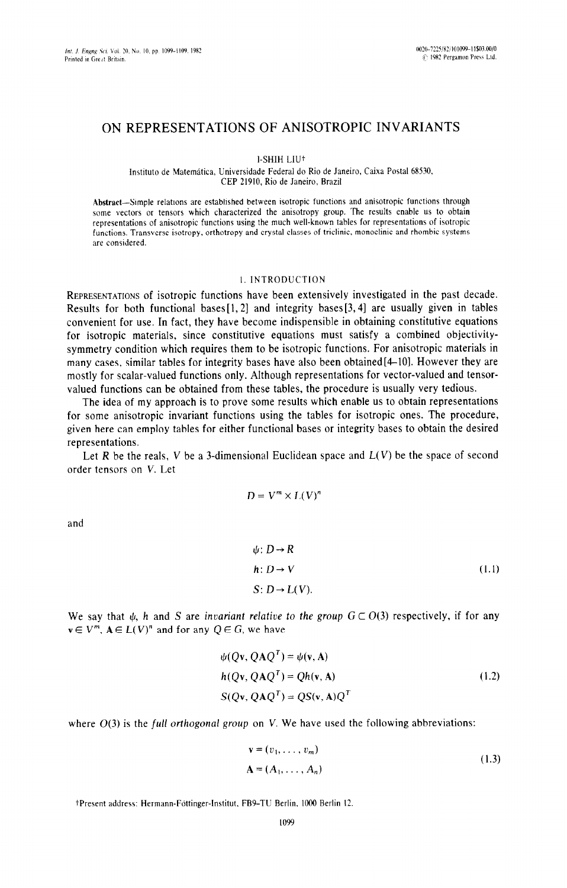# ON REPRESENTATIONS OF ANISOTROPIC INVARIANTS

I-SHIH LIU<sup>+</sup>

Instituto de Matemática, Universidade Federal do Rio de Janeiro, Caixa Postal 68530, CEP 21910, Rio de Janeiro, Brazil

Abstract--Simple relations are established between isotropic functions and anisotropic functions through some vectors or tensors which characterized the anisotropy group. The results enable us to obtain representations of anisotropic functions using the much well-known tables for representations of isotropic functions. Transverse isotropy. orthotropy and crystal classes of triclinic. monoclinic and rhombic systems are considered.

### I. INTRODUCTION

**REPRESENTATIONS** of isotropic functions have been extensively investigated in the past decade. Results for both functional bases  $[1,2]$  and integrity bases  $[3,4]$  are usually given in tables convenient for use. In fact, they have become indispensible in obtaining constitutive equations for isotropic materials, since constitutive equations must satisfy a combined objectivitysymmetry condition which requires them to be isotropic functions. For anisotropic materials in many cases, similar tables for integrity bases have also been obtained[4-IO]. However they are mostly for scalar-valued functions only. Although representations for vector-valued and tensorvalued functions can be obtained from these tables, the procedure is usually very tedious.

The idea of my approach is to prove some results which enable us to obtain representations for some anisotropic invariant functions using the tables for isotropic ones. The procedure, given here can employ tables for either functional bases or integrity bases to obtain the desired representations.

Let R be the reals, V be a 3-dimensional Euclidean space and  $L(V)$  be the space of second order tensors on V. Let

$$
D = V^{m} \times L(V)^{n}
$$
  

$$
\psi: D \to R
$$
  

$$
h: D \to V
$$
 (1.1)

 $S: D \rightarrow L(V)$ .

We say that  $\psi$ , h and S are invariant relative to the group  $G \subset O(3)$  respectively, if for any  $v \in V^m$ ,  $A \in L(V)^n$  and for any  $Q \in G$ , we have

$$
\psi(Qv, QAQT) = \psi(v, A)
$$
  
h(Qv, QAQ<sup>T</sup>) = Qh(v, A) (1.2)  
S(Qv, QAQ<sup>T</sup>) = QS(v, A)Q<sup>T</sup>

where  $O(3)$  is the full orthogonal group on V. We have used the following abbreviations:

$$
\mathbf{v} = (v_1, \dots, v_m)
$$
  

$$
\mathbf{A} = (A_1, \dots, A_n)
$$
 (1.3)

tPresent address: Hermann-Fottinger-Institut, FB9-TU Berlin, 1000 Berlin 12.

and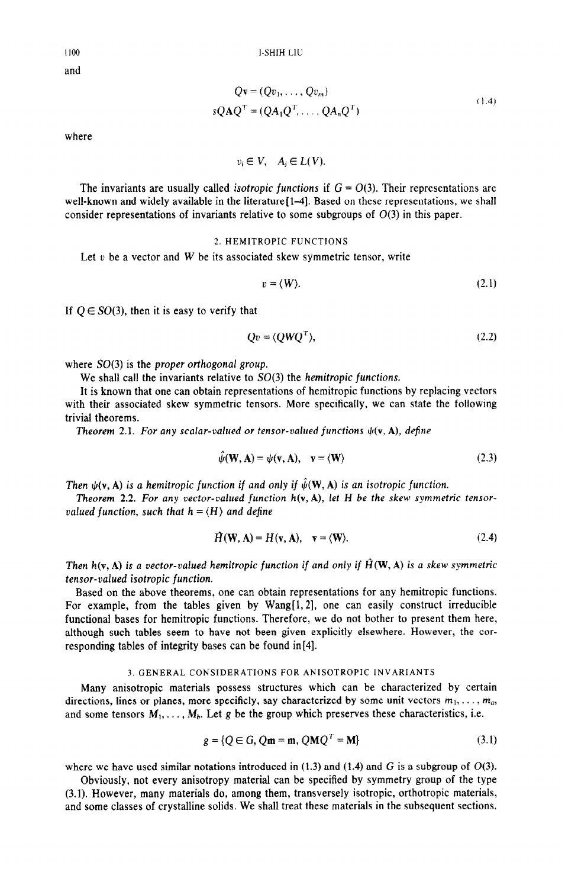**I-SHIH LIU** 

1100 and

$$
Q\mathbf{v} = (Qv_1, \dots, Qv_m)
$$
  
 
$$
sQAQT = (QA1QT, \dots, QAnQT)
$$
 (1.4)

where

 $v_i \in V$ ,  $A_i \in L(V)$ .

The invariants are usually called *isotropic functions* if  $G = O(3)$ . Their representations are well-known and widely available in the literature [1–4]. Based on these representations, we shall consider representations of invariants relative to some subgroups of  $O(3)$  in this paper.

## 2. HEMITROPIC FUNCTIONS

Let  $v$  be a vector and  $W$  be its associated skew symmetric tensor, write

$$
v = \langle W \rangle. \tag{2.1}
$$

If  $Q \in SO(3)$ , then it is easy to verify that

$$
Qv = \langle QWQ^T \rangle, \tag{2.2}
$$

where  $SO(3)$  is the proper orthogonal group.

We shall call the invariants relative to  $SO(3)$  the hemitropic functions.

It is known that one can obtain representations of hemitropic functions by replacing vectors with their associated skew symmetric tensors. More specifically, we can state the following trivial theorems.

*Theorem 2.1. For any scalar-valued or tensor-valued functions*  $\psi(\mathbf{v}, \mathbf{A})$ *, define* 

$$
\hat{\psi}(\mathbf{W}, \mathbf{A}) = \psi(\mathbf{v}, \mathbf{A}), \quad \mathbf{v} = \langle \mathbf{W} \rangle \tag{2.3}
$$

*Then*  $\psi(\mathbf{v}, \mathbf{A})$  *is a hemitropic function if and only if*  $\hat{\psi}(\mathbf{W}, \mathbf{A})$  *is an isotropic function.* 

**Theorem 2.2. For any vector-valued function**  $h(v, A)$ **, let H be the skew symmetric tensor**valued function, such that  $h = \langle H \rangle$  and define

$$
\hat{H}(\mathbf{W}, \mathbf{A}) = H(\mathbf{v}, \mathbf{A}), \quad \mathbf{v} = \langle \mathbf{W} \rangle.
$$
 (2.4)

Then  $h(\mathbf{v}, \mathbf{A})$  is a vector-valued hemitropic function if and only if  $\hat{H}(\mathbf{W}, \mathbf{A})$  is a skew symmetric *tensor-valued* isotropic *function.* 

Based on the above theorems, one can obtain representations for any hemitropic functions. For example, from the tables given by  $Wang[1, 2]$ , one can easily construct irreducible functional bases for hemitropic functions. Therefore, we do not bother to present them here, although such tables seem to have not been given explicitly elsewhere. However, the corresponding tables of integrity bases can be found in[4].

#### 3,GENERAL CONSIDERATIONS FOR ANISOTROPIC INVARIANTS

Many anisotropic materials possess structures which can be characterized by certain directions, lines or planes, more specificly, say characterized by some unit vectors  $m_1, \ldots, m_a$ , and some tensors  $M_1, \ldots, M_b$ . Let g be the group which preserves these characteristics, i.e.

$$
g = \{Q \in G, Qm = m, QMQ^{T} = M\}
$$
 (3.1)

where we have used similar notations introduced in  $(1.3)$  and  $(1.4)$  and G is a subgroup of  $O(3)$ .

Obviously, not every anisotropy material can be specified by symmetry group of the type (3.1). However, many materials do, among them, transversely isotropic, orthotropic materials, and some classes of crystalline solids. We shall treat these materials in the subsequent sections,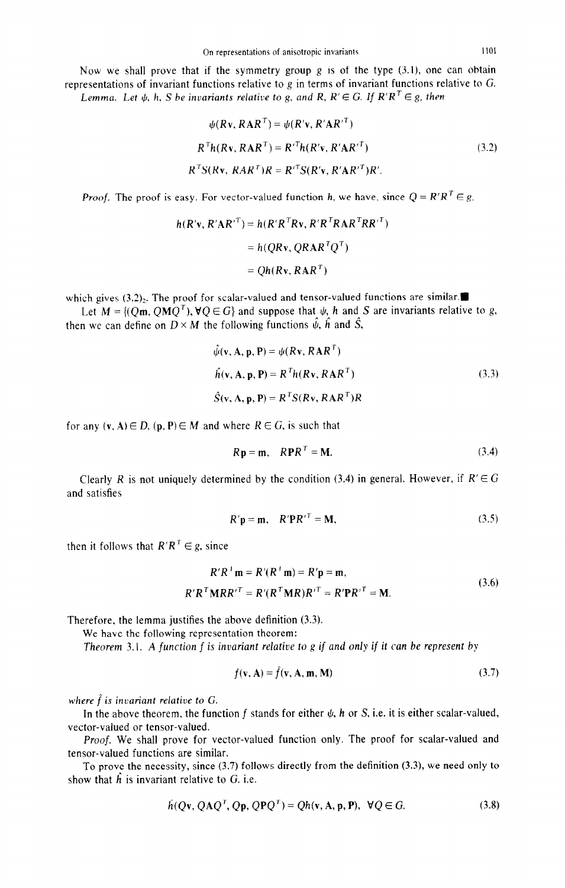Now we shall prove that if the symmetry group  $g$  is of the type  $(3.1)$ , one can obtain representations of invariant functions relative to g in terms of invariant functions relative to G. Lemma. Let  $\psi$ , h, S be invariants relative to g, and R,  $R' \in G$ . If  $R'R^T \in g$ , then

$$
\psi(R\mathbf{v}, R\mathbf{A}R^T) = \psi(R'\mathbf{v}, R'\mathbf{A}R'^T)
$$
  
\n
$$
R^T h(R\mathbf{v}, R\mathbf{A}R^T) = R'^T h(R'\mathbf{v}, R'\mathbf{A}R'^T)
$$
  
\n
$$
R^T S(R\mathbf{v}, R\mathbf{A}R^T)R = R'^T S(R'\mathbf{v}, R'\mathbf{A}R'^T)R'.
$$
\n(3.2)

*Proof.* The proof is easy. For vector-valued function h, we have, since  $Q = R'R^T \in g$ ,

$$
h(R'v, R'AR'^T) = h(R'R^TRv, R'R^TRAR^TRR'^T)
$$
  
=  $h(QRv, QRAR^TQ^T)$   
=  $Qh(Rv, RAR^T)$ 

which gives  $(3.2)$ . The proof for scalar-valued and tensor-valued functions are similar.

Let  $M = \{ (Q\mathbf{m}, Q\mathbf{M}Q^T), \forall Q \in G \}$  and suppose that  $\psi$ , h and S are invariants relative to g, then we can define on  $D \times M$  the following functions  $\hat{\psi}$ ,  $\hat{h}$  and  $\hat{S}$ ,

$$
\hat{\psi}(\mathbf{v}, \mathbf{A}, \mathbf{p}, \mathbf{P}) = \psi(R\mathbf{v}, R\mathbf{A}R^{T})
$$
  
\n
$$
\hat{h}(\mathbf{v}, \mathbf{A}, \mathbf{p}, \mathbf{P}) = R^{T}h(R\mathbf{v}, R\mathbf{A}R^{T})
$$
\n
$$
\hat{S}(\mathbf{v}, \mathbf{A}, \mathbf{p}, \mathbf{P}) = R^{T}S(R\mathbf{v}, R\mathbf{A}R^{T})R
$$
\n(3.3)

for any  $(v, A) \in D$ ,  $(p, P) \in M$  and where  $R \in G$ , is such that

$$
Rp = m, \quad RPR^T = M. \tag{3.4}
$$

Clearly *R* is not uniquely determined by the condition (3.4) in general. However, if  $R' \in G$ and satisfies

$$
R' \mathbf{p} = \mathbf{m}, \quad R' \mathbf{P} R'^T = \mathbf{M}, \tag{3.5}
$$

then it follows that  $R'R^T \in g$ , since

$$
R'R' \mathbf{m} = R'(R' \mathbf{m}) = R'\mathbf{p} = \mathbf{m},
$$
  

$$
R'R^{T}MRR'^{T} = R'(R^{T}MR)R'^{T} = R'PR'^{T} = \mathbf{M}.
$$
 (3.6)

Therefore, the lemma justifies the above definition (3.3).

We have the following representation theorem:

*Theorem 3.1. A function f is invariant relative to g if and only if it can be represent by* 

$$
f(\mathbf{v}, \mathbf{A}) = \hat{f}(\mathbf{v}, \mathbf{A}, \mathbf{m}, \mathbf{M})
$$
\n(3.7)

*where f* is *invariant relative to G.* 

In the above theorem, the function f stands for either  $\psi$ , h or S, i.e. it is either scalar-valued, vector-valued or tensor-valued.

Proof. We shall prove for vector-valued function only. The proof for scalar-valued and tensor-valued functions are similar.

To prove the necessity, since (3.7) follows directly from the definition (3.3), we need only to show that  $\hat{h}$  is invariant relative to G. i.e.

$$
\hat{h}(Qv, QAQT, Qp, QPQT) = Qh(v, A, p, P), \forall Q \in G.
$$
\n(3.8)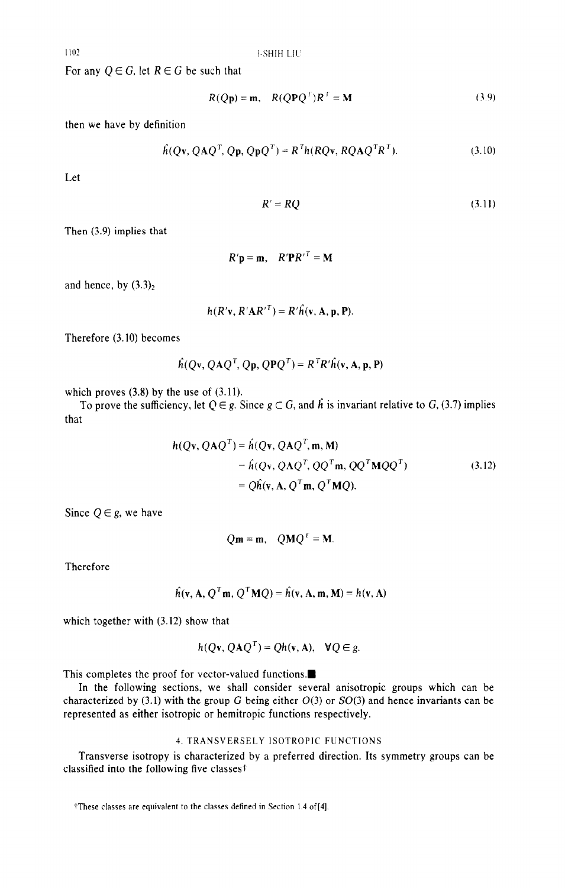For any  $Q \in G$ , let  $R \in G$  be such that

$$
R(Q\mathbf{p}) = \mathbf{m}, \quad R(Q\mathbf{P}Q^{T})R^{T} = \mathbf{M}
$$
\n(3.9)

then we have by definition

$$
\hat{h}(Qv, QAQT, Qp, QpQT) = RTh(RQv, RQAQTRT).
$$
\n(3.10)

Let

$$
R' = RQ \tag{3.11}
$$

Then (3.9) implies that

 $R'$ **p** = **m**,  $R'$ **P** $R'$ <sup>T</sup> = **M** 

and hence, by  $(3.3)<sub>2</sub>$ 

 $h(R'v, R'AR'^T) = R'\hat{h}(v, A, p, P).$ 

Therefore (3.10) becomes

$$
\hat{h}(Qv, QAQT, Qp, QPQT) = RTR'\hat{h}(v, A, p, P)
$$

which proves  $(3.8)$  by the use of  $(3.11)$ .

To prove the sufficiency, let  $Q \in g$ . Since  $g \subset G$ , and  $\hat{h}$  is invariant relative to  $G$ , (3.7) implies that

$$
h(Qv, QAQT) = \hat{h}(Qv, QAQT, m, M)
$$
  
=  $\hat{h}(Qv, QAQT, QQT m, QQT MQQT)$   
=  $Q\hat{h}(v, A, QT m, QT MQ).$  (3.12)

Since  $Q \in g$ , we have

 $Qm = m$ ,  $QMO<sup>T</sup> = M$ .

Therefore

$$
\hat{h}(\mathbf{v}, \mathbf{A}, Q^T \mathbf{m}, Q^T \mathbf{M} Q) = \hat{h}(\mathbf{v}, \mathbf{A}, \mathbf{m}, \mathbf{M}) = h(\mathbf{v}, \mathbf{A})
$$

which together with  $(3.12)$  show that

$$
h(Qv, QAQT) = Qh(v, A), \quad \forall Q \in g.
$$

This completes the proof for vector-valued functions. $\blacksquare$ 

In the following sections, we shall consider several anisotropic groups which can be characterized by (3.1) with the group G being either  $O(3)$  or  $SO(3)$  and hence invariants can be represented as either isotropic or hemitropic functions respectively.

## 4. TRANSVERSELY ISOTROPIC FUNCTIONS

Transverse isotropy is characterized by a preferred direction. Its symmetry groups can be classified into the following five classes+

tThese classes are equivalent to the classes defined in Section 1.4 of[4].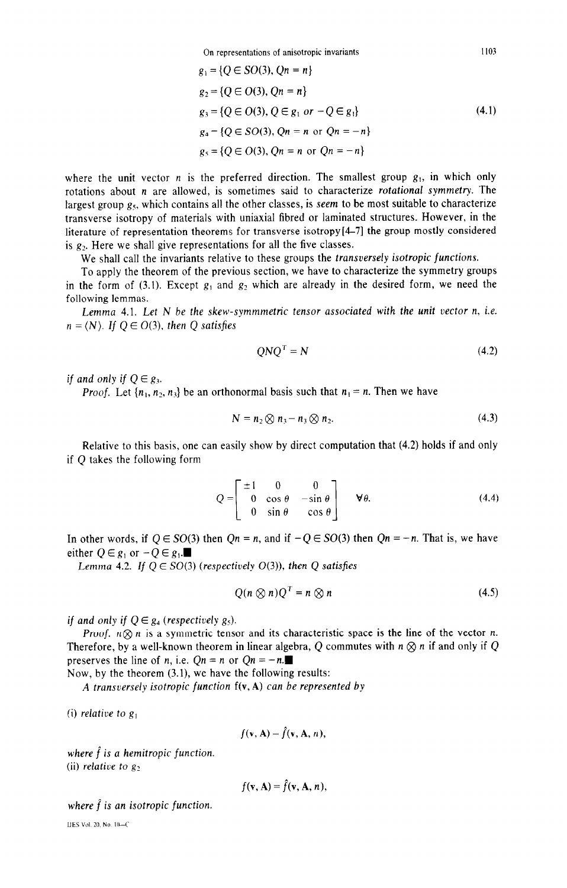**On representations of anisotropic invariants** 

$$
g_1 = \{Q \in SO(3), Qn = n\}
$$
  
\n
$$
g_2 = \{Q \in O(3), Qn = n\}
$$
  
\n
$$
g_3 = \{Q \in O(3), Q \in g_1 \text{ or } -Q \in g_1\}
$$
  
\n
$$
g_4 = \{Q \in SO(3), Qn = n \text{ or } Qn = -n\}
$$
  
\n
$$
g_5 = \{Q \in O(3), Qn = n \text{ or } Qn = -n\}
$$
\n(4.1)

where the unit vector  $n$  is the preferred direction. The smallest group  $g_1$ , in which only rotations about n are allowed, is sometimes said to characterize *rotational symmetry.* The largest group  $g<sub>5</sub>$ , which contains all the other classes, is seem to be most suitable to characterize transverse isotropy of materials with uniaxial fibred or laminated structures. However, in the literature of representation theorems for transverse isotropy[4-71 the group mostly considered is  $g_2$ . Here we shall give representations for all the five classes.

We shall call the invariants relative to these groups the transversely isotropic *functions.* 

To apply the theorem of the previous section, we have to characterize the symmetry groups in the form of (3.1). Except  $g_1$  and  $g_2$  which are already in the desired form, we need the following lemmas.

Lemma 4.1. *Let N* be the skew-symmmetric tensor associated with the unit vector n, i.e.  $n = \langle N \rangle$ . If  $Q \in O(3)$ , then Q satisfies

$$
QNQ^T = N \tag{4.2}
$$

if and only if  $Q \in g_3$ .

*Proof.* Let  $\{n_1, n_2, n_3\}$  be an orthonormal basis such that  $n_1 = n$ . Then we have

$$
N = n_2 \otimes n_3 - n_3 \otimes n_2. \tag{4.3}
$$

Relative to this basis, one can easily show by direct computation that (4.2) holds if and only if Q takes the following form

$$
Q = \begin{bmatrix} \pm 1 & 0 & 0 \\ 0 & \cos \theta & -\sin \theta \\ 0 & \sin \theta & \cos \theta \end{bmatrix} \quad \forall \theta.
$$
 (4.4)

In other words, if  $Q \in SO(3)$  then  $Qn = n$ , and if  $-Q \in SO(3)$  then  $Qn = -n$ . That is, we have either  $Q \in g_1$  or  $-Q \in g_1$ .

Lemma 4.2. *If*  $Q \in SO(3)$  (respectively  $O(3)$ ), then Q satisfies

$$
Q(n \otimes n)Q^{T} = n \otimes n \tag{4.5}
$$

*if and only if*  $Q \in g_4$  (respectively  $g_5$ ).

Proof.  $n \otimes n$  is a symmetric tensor and its characteristic space is the line of the vector *n*. Therefore, by a well-known theorem in linear algebra, Q commutes with  $n \otimes n$  if and only if Q preserves the line of *n*, i.e.  $Qn = n$  or  $Qn = -n$ .

*Now,* by the theorem (3.1), we have the following results:

A *transversely isotropic function* f(v, A) *can be represented by* 

(i) *relative to g,* 

$$
f(\mathbf{v},\mathbf{A})=f(\mathbf{v},\mathbf{A},n),
$$

*where f is a hemitropic function.*  (ii) relative to  $g_2$ .

$$
f(\mathbf{v},\mathbf{A})=\hat{f}(\mathbf{v},\mathbf{A},n),
$$

where  $\hat{f}$  is an isotropic function.

IIES **Vol 20. No IILC**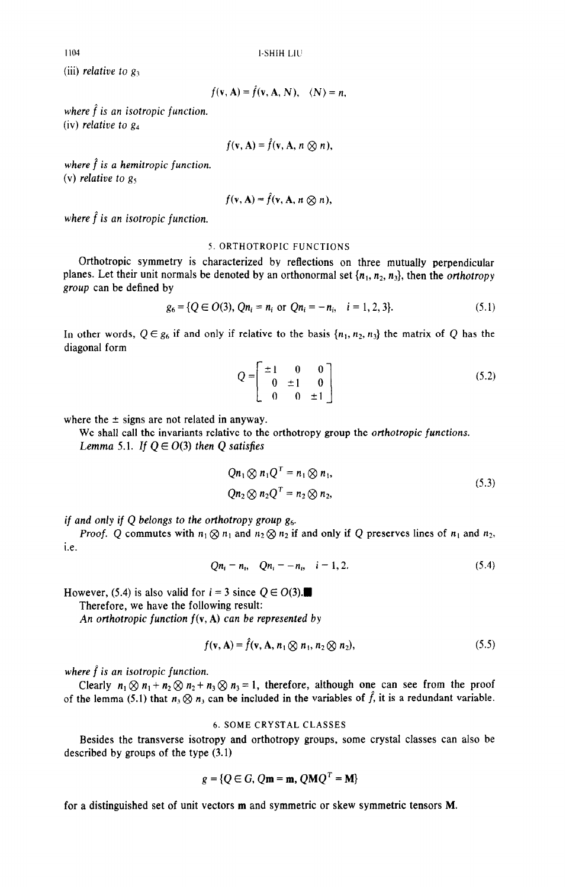1104 I-SHIH Lll

(iii) *relative to*  $g_3$ 

$$
f(\mathbf{v}, \mathbf{A}) = \tilde{f}(\mathbf{v}, \mathbf{A}, N), \quad \langle N \rangle = n,
$$

*where*  $\hat{f}$  *is an isotropic function.* (iv) relative to  $g_4$ 

$$
f(\mathbf{v},\mathbf{A})=\hat{f}(\mathbf{v},\mathbf{A},n\otimes n),
$$

where  $\hat{f}$  is a hemitropic function. (v) relative *to g5* 

$$
f(\mathbf{v},\mathbf{A})=f(\mathbf{v},\mathbf{A},n\otimes n),
$$

*where*  $\hat{f}$  *is an isotropic function.* 

### 5. ORTHOTROPIC FUNCTIONS

Orthotropic symmetry is characterized by reflections on three mutually perpendicular planes. Let their unit normals be denoted by an orthonormal set  $\{n_1, n_2, n_3\}$ , then the *orthotropy group* can be defined by

$$
g_6 = \{Q \in O(3), Qn_i = n_i \text{ or } Qn_i = -n_i, \quad i = 1, 2, 3\}. \tag{5.1}
$$

In other words,  $Q \in g_6$  if and only if relative to the basis  $\{n_1, n_2, n_3\}$  the matrix of Q has the diagonal form

$$
Q = \begin{bmatrix} \pm 1 & 0 & 0 \\ 0 & \pm 1 & 0 \\ 0 & 0 & \pm 1 \end{bmatrix}
$$
 (5.2)

where the  $\pm$  signs are not related in anyway.

We shall call the invariants relative to the orthotropy group the *orthotropic functions. Lemma 5.1. If*  $Q \in O(3)$  *then Q satisfies* 

$$
Qn_1 \otimes n_1 Q^T = n_1 \otimes n_1,
$$
  
\n
$$
Qn_2 \otimes n_2 Q^T = n_2 \otimes n_2,
$$
\n(5.3)

*if* and only if *Q belongs to the orthotropy group g6.* 

*Proof.* Q commutes with  $n_1 \otimes n_1$  and  $n_2 \otimes n_2$  if and only if Q preserves lines of  $n_1$  and  $n_2$ , i.e.

$$
Qn_i = n_i, \quad Qn_i = -n_i, \quad i = 1, 2. \tag{5.4}
$$

However, (5.4) is also valid for  $i = 3$  since  $Q \in O(3)$ .

Therefore, we have the following result:

An *orthotropic function f(v,* A) *can be represented by* 

$$
f(\mathbf{v}, \mathbf{A}) = \hat{f}(\mathbf{v}, \mathbf{A}, n_1 \otimes n_1, n_2 \otimes n_2), \tag{5.5}
$$

*where f* is *an isotropic function.* 

Clearly  $n_1 \otimes n_1 + n_2 \otimes n_2 + n_3 \otimes n_3 = 1$ , therefore, although one can see from the proof of the lemma (5.1) that  $n_3 \otimes n_3$  can be included in the variables of  $\hat{f}$ , it is a redundant variable.

## 6. SOME CRYSTAL CLASSES

Besides the transverse isotropy and orthotropy groups, some crystal classes can also be described by groups of the type (3.1)

$$
g = \{Q \in G, Q\mathbf{m} = \mathbf{m}, Q\mathbf{M}Q^T = \mathbf{M}\}
$$

for a distinguished set of unit vectors m and symmetric or skew symmetric tensors M.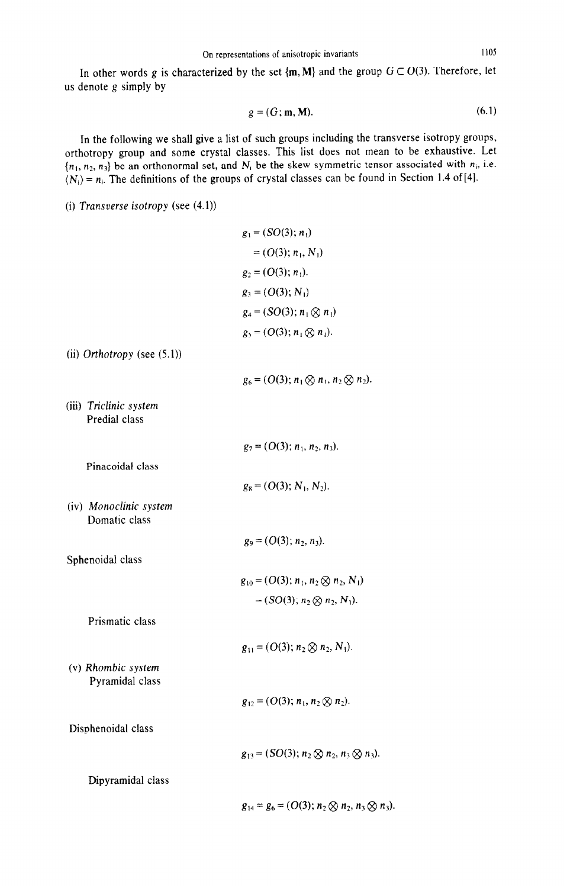In other words g is characterized by the set  $\{m, M\}$  and the group  $G \subset O(3)$ . Therefore, let us denote g simply by

$$
g = (G; \mathbf{m}, \mathbf{M}). \tag{6.1}
$$

In the following we shall give a list of such groups including the transverse isotropy groups, orthotropy group and some crystal classes. This list does not mean to be exhaustive. Let  ${n_1, n_2, n_3}$  be an orthonormal set, and  $N_i$  be the skew symmetric tensor associated with  $n_i$ , i.e.  $\langle N_i \rangle = n_i$ . The definitions of the groups of crystal classes can be found in Section 1.4 of [4].

(i) Transverse *isotropy (see* (4.1))

$$
g_1 = (SO(3); n_1)
$$
  
= (O(3); n<sub>1</sub>, N<sub>1</sub>)  

$$
g_2 = (O(3); n_1).
$$
  

$$
g_3 = (O(3); N_1)
$$
  

$$
g_4 = (SO(3); n_1 \otimes n_1)
$$
  

$$
g_5 = (O(3); n_1 \otimes n_1).
$$

(ii) Orthotropy (see (5.1))

 $g_6 = (O(3); n_1 \otimes n_1, n_2 \otimes n_2).$ 

(iii) *Triclinic system*  Predial class

Pinacoidal class

Domatic class

Sphenoidal class

 $g_7 = (O(3); n_1, n_2, n_3).$  $g_8 = (O(3); N_1, N_2).$ (iv) *Monoclinic system*   $g_9 = (O(3); n_2, n_3).$  $g_{10} = (O(3); n_1, n_2 \otimes n_2, N_1)$  $= (SO(3); n_2 \otimes n_2, N_1).$  $g_{11} = (O(3); n_2 \otimes n_2, N_1).$ 

(v) Rhombic system Pyramidal class

Prismatic class

 $g_{12} = (O(3); n_1, n_2 \otimes n_2).$ 

Disphenoidal class

 $g_{13} = (SO(3); n_2 \otimes n_2, n_3 \otimes n_3).$ 

Dipyramidal class

 $g_{14} = g_6 = (O(3); n_2 \otimes n_2, n_3 \otimes n_3).$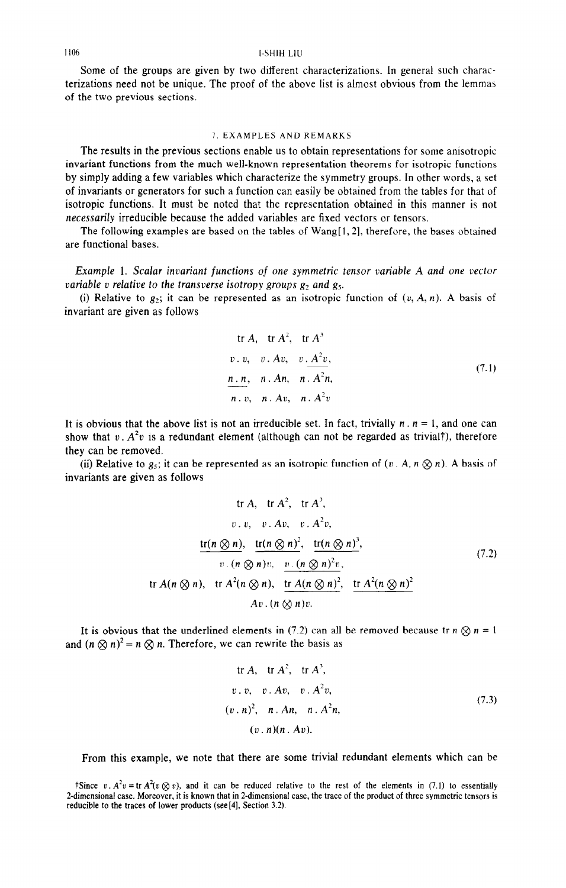## 1106 I-SHIH LIU

Some of the groups are given by two different characterizations. In general such characterizations need not be unique. The proof of the above list is almost obvious from the lemmas of the two previous sections.

## 7,EXAMPLES ANDREMARKS

The results in the previous sections enable us to obtain representations for some anisotropic invariant functions from the much well-known representation theorems for isotropic functions by simply adding a few variables which characterize the symmetry groups. In other words, a set of invariants or generators for such a function can easily be obtained from the tables for that of isotropic functions. It must be noted that the representation obtained in this manner is not necessarily irreducible because the added variables are fixed vectors or tensors.

The following examples are based on the tables of Wang[l, 21, therefore, the bases obtained are functional bases.

Example 1. Scalar invariant functions of *one* symmetric *tensor* variable A *and one vector*  variable *v* relative to the transverse isotropy groups  $g_2$  and  $g_5$ .

(i) Relative to  $g_2$ ; it can be represented as an isotropic function of  $(v, A, n)$ . A basis of invariant are given as follows

tr A, tr A', tr A' L'. 21, u . Au, v. A%, *n. n,* n.An, n . *A%, n. v, n .* Au, *n* A'v (7.1)

It is obvious that the above list is not an irreducible set. In fact, trivially  $n \cdot n = 1$ , and one can show that  $v \cdot A^2v$  is a redundant element (although can not be regarded as trivial<sup>†</sup>), therefore they can be removed.

(ii) Relative to  $g_5$ ; it can be represented as an isotropic function of  $(v \cdot A, n \otimes n)$ . A basis of invariants are given as follows

$$
\text{tr } A, \quad \text{tr } A^2, \quad \text{tr } A^3,
$$
\n
$$
v \cdot v, \quad v \cdot Av, \quad v \cdot A^2 v,
$$
\n
$$
\frac{\text{tr}(n \otimes n), \quad \text{tr}(n \otimes n)^2, \quad \text{tr}(n \otimes n)^3,}{v \cdot (n \otimes n)v, \quad v \cdot (n \otimes n)^2 v},
$$
\n
$$
\text{tr } A(n \otimes n), \quad \text{tr } A^2(n \otimes n), \quad \frac{\text{tr } A(n \otimes n)^2, \quad \text{tr } A^2(n \otimes n)^2}{A v \cdot (n \otimes n)v}.
$$
\n(7.2)

It is obvious that the underlined elements in (7.2) can all be removed because tr  $n \otimes n = 1$ and  $(n \otimes n)^2 = n \otimes n$ . Therefore, we can rewrite the basis as

tr A, tr A<sup>2</sup>, tr A<sup>3</sup>,  
\nv. v, v. Av, v. A<sup>2</sup>v,  
\n
$$
(v.n)^2
$$
, n. An, n. A<sup>2</sup>n,  
\n $(v.n)(n.Av)$ . (7.3)

From this example, we note that there are some trivial redundant elements which can be

tSince v.  $A^2v = \text{tr } A^2(v \otimes v)$ , and it can be reduced relative to the rest of the elements in (7.1) to essentially 2-dimensional case. Moreover, it is known that in 2-dimensional case, the trace of the product of three symmetric tensors is reducible to the traces of lower products (see[4], Section 3.2).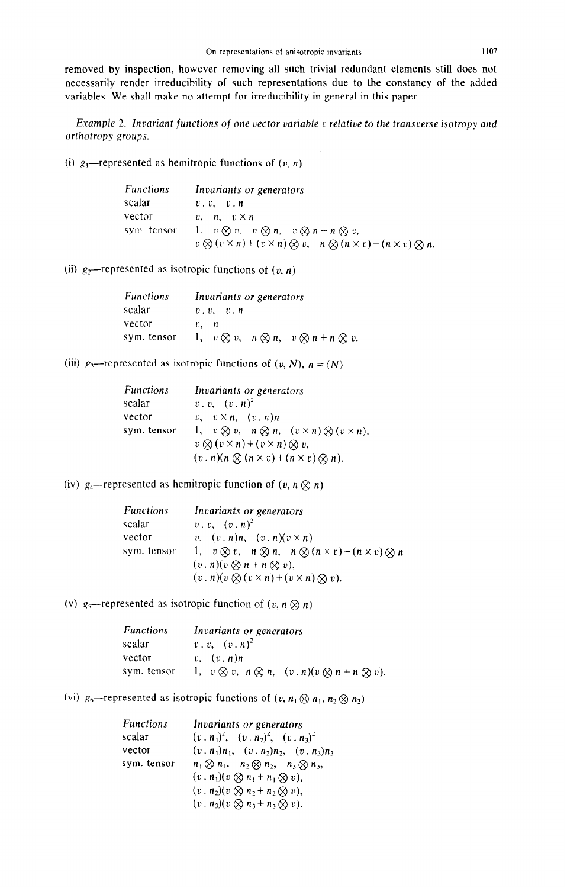removed by inspection, however removing all such trivial redundant elements still does not necessarily render irreducibility of such representations due to the constancy of the added variables. We shall make no attempt for irreducibility in general in this paper.

Example 2. Invariant functions of one vector variable v relative to the transverse isotropy and orthotropy groups.

(i)  $g_1$ —represented as hemitropic functions of  $(v, n)$ 

| <b>Functions</b> | Invariants or generators                                                                                |
|------------------|---------------------------------------------------------------------------------------------------------|
| scalar           | v, v, v, n                                                                                              |
| vector           | $v, n, v \times n$                                                                                      |
| sym. tensor      | 1, $v \otimes v$ , $n \otimes n$ , $v \otimes n + n \otimes v$ ,                                        |
|                  | $v \otimes (v \times n) + (v \times n) \otimes v$ , $n \otimes (n \times v) + (n \times v) \otimes n$ . |

(ii)  $g_2$ -represented as isotropic functions of  $(v, n)$ 

| <b>Functions</b> | Invariants or generators                                         |
|------------------|------------------------------------------------------------------|
| scalar           | v, v, v, n                                                       |
| vector           | $v$ , $n$                                                        |
| sym. tensor      | 1, $v \otimes v$ , $n \otimes n$ , $v \otimes n + n \otimes v$ . |

(iii)  $g_3$ -represented as isotropic functions of  $(v, N)$ ,  $n = \langle N \rangle$ 

| <b>Functions</b> | Invariants or generators                                                 |
|------------------|--------------------------------------------------------------------------|
| scalar           | $v \cdot v$ , $(v \cdot n)^2$                                            |
| vector           | v, $v \times n$ , $(v \cdot n)n$                                         |
| sym. tensor      | 1, $v \otimes v$ , $n \otimes n$ , $(v \times n) \otimes (v \times n)$ , |
|                  | $v \otimes (v \times n) + (v \times n) \otimes v$ ,                      |
|                  | $(v \cdot n)(n \otimes (n \times v) + (n \times v) \otimes n).$          |

(iv)  $g_4$ -represented as hemitropic function of  $(v, n \otimes n)$ 

| <b>Functions</b> | Invariants or generators                                                             |
|------------------|--------------------------------------------------------------------------------------|
| scalar           | $v \cdot v, \quad (v \cdot n)^2$                                                     |
| vector           | v, $(v, n)n$ , $(v, n)(v \times n)$                                                  |
| sym. tensor      | 1, $v \otimes v$ , $n \otimes n$ , $n \otimes (n \times v) + (n \times v) \otimes n$ |
|                  | $(v \cdot n)(v \otimes n + n \otimes v),$                                            |
|                  | $(v \cdot n)(v \otimes (v \times n) + (v \times n) \otimes v).$                      |

(v)  $g_5$ -represented as isotropic function of  $(v, n \otimes n)$ 

| <b>Functions</b> | Invariants or generators                                                      |
|------------------|-------------------------------------------------------------------------------|
| scalar           | $v \cdot v$ , $(v \cdot n)^2$                                                 |
| vector           | $v.$ $(v. n)n$                                                                |
| sym. tensor      | 1, $v \otimes v$ , $n \otimes n$ , $(v \cdot n)(v \otimes n + n \otimes v)$ . |

(vi)  $g_6$ -represented as isotropic functions of  $(v, n_1 \otimes n_1, n_2 \otimes n_2)$ 

| <b>Functions</b> | Invariants or generators                                 |
|------------------|----------------------------------------------------------|
| scalar           | $(v, n_1)^2$ , $(v, n_2)^2$ , $(v, n_3)^2$               |
| vector           | $(v, n_1)n_1$ , $(v, n_2)n_2$ , $(v, n_3)n_3$            |
| sym. tensor      | $n_1\otimes n_1$ , $n_2\otimes n_2$ , $n_3\otimes n_3$ , |
|                  | $(v \cdot n_1)(v \otimes n_1 + n_1 \otimes v),$          |
|                  | $(v \cdot n_2)(v \otimes n_2 + n_2 \otimes v),$          |
|                  | $(v \cdot n_3)(v \otimes n_3 + n_3 \otimes v).$          |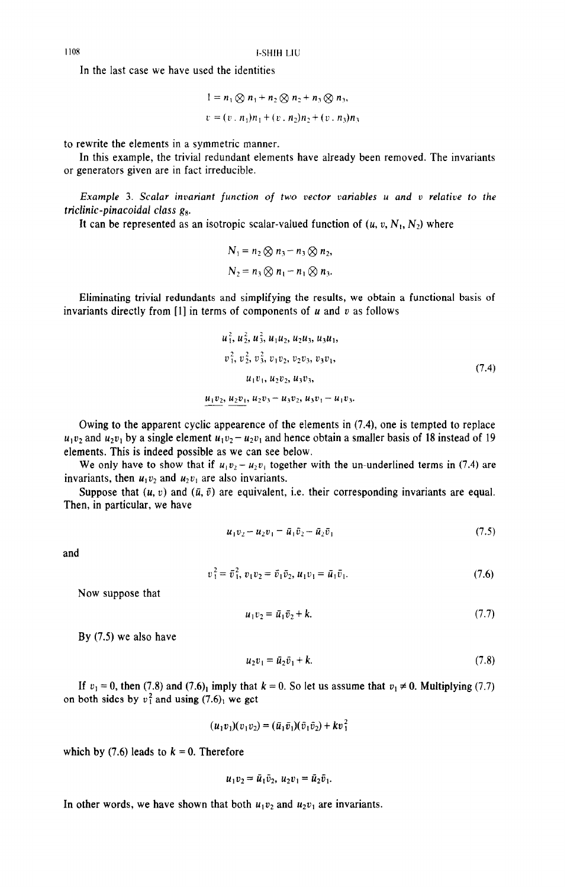1108 **I-SHIH LIU** 

In the last case we have used the identities

$$
1 = n_1 \otimes n_1 + n_2 \otimes n_2 + n_3 \otimes n_3,
$$
  

$$
v = (v \cdot n_1) n_1 + (v \cdot n_2) n_2 + (v \cdot n_3) n_3
$$

to rewrite the elements in a symmetric manner.

In this example, the trivial redundant elements have already been removed. The invariants or generators given are in fact irreducible.

Example 3. Scalar invariant function of two vector variables u and v relative to the triclinic-pinacoidal class  $g_8$ .

It can be represented as an isotropic scalar-valued function of  $(u, v, N_1, N_2)$  where

$$
N_1 = n_2 \otimes n_3 - n_3 \otimes n_2,
$$
  

$$
N_2 = n_3 \otimes n_1 - n_1 \otimes n_3.
$$

Eliminating trivial redundants and simplifying the results, we obtain a functional basis of invariants directly from [1] in terms of components of  $u$  and  $v$  as follows

$$
u_1^2, u_2^2, u_3^2, u_1u_2, u_2u_3, u_3u_1,
$$
  
\n
$$
v_1^2, v_2^2, v_3^2, v_1v_2, v_2v_3, v_3v_1,
$$
  
\n
$$
u_1v_1, u_2v_2, u_3v_3,
$$
  
\n
$$
u_1v_2, u_2v_1, u_2v_3 - u_3v_2, u_3v_1 - u_1v_3.
$$
\n(7.4)

Owing to the apparent cyclic appearence of the elements in (7.4), one is tempted to replace  $u_1v_2$  and  $u_2v_1$  by a single element  $u_1v_2 - u_2v_1$  and hence obtain a smaller basis of 18 instead of 19 elements. This is indeed possible as we can see below.

We only have to show that if  $u_1v_2 - u_2v_1$  together with the un-underlined terms in (7.4) are invariants, then  $u_1v_2$  and  $u_2v_1$  are also invariants.

Suppose that  $(u, v)$  and  $(\bar{u}, \bar{v})$  are equivalent, i.e. their corresponding invariants are equal. Then, in particular, we have

$$
u_1v_2 - u_2v_1 = \bar{u}_1\bar{v}_2 - \bar{u}_2\bar{v}_1
$$
\n(7.5)

and

$$
v_1^2 = \bar{v}_1^2, v_1 v_2 = \bar{v}_1 \bar{v}_2, u_1 v_1 = \bar{u}_1 \bar{v}_1.
$$
 (7.6)

Now suppose that

$$
u_1v_2 = \bar{u}_1\bar{v}_2 + k.\tag{7.7}
$$

By (7.5) we also have

$$
u_2v_1 = \bar{u}_2\bar{v}_1 + k.\tag{7.8}
$$

If  $v_1 = 0$ , then (7.8) and (7.6)<sub>1</sub> imply that  $k = 0$ . So let us assume that  $v_1 \neq 0$ . Multiplying (7.7) on both sides by  $v_1^2$  and using (7.6), we get

$$
(u_1v_1)(v_1v_2)=(\bar{u}_1\bar{v}_1)(\bar{v}_1\bar{v}_2)+kv_1^2
$$

which by  $(7.6)$  leads to  $k = 0$ . Therefore

$$
u_1v_2=\bar{u}_1\bar{v}_2, u_2v_1=\bar{u}_2\bar{v}_1.
$$

In other words, we have shown that both  $u_1v_2$  and  $u_2v_1$  are invariants.